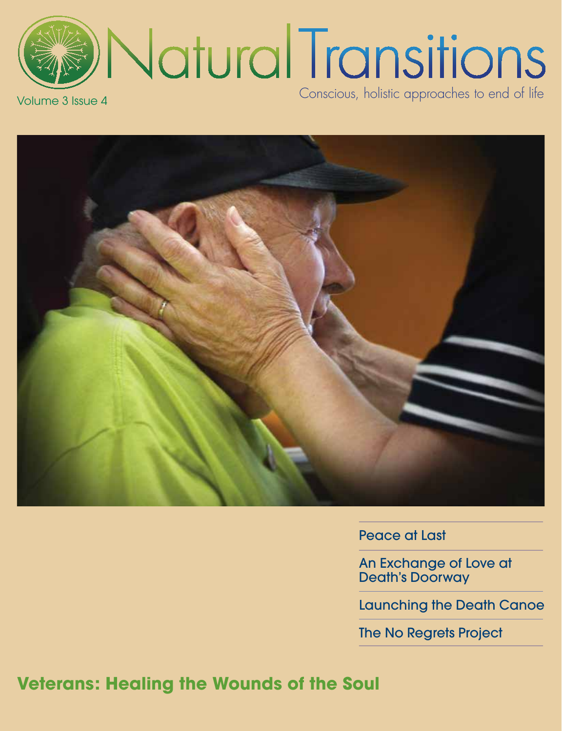Natural Transitions Conscious, holistic approaches to end of life Volume 3 Issue 4



Peace at Last

An Exchange of Love at Death's Doorway

Launching the Death Canoe

The No Regrets Project

**Veterans: Healing the Wounds of the Soul**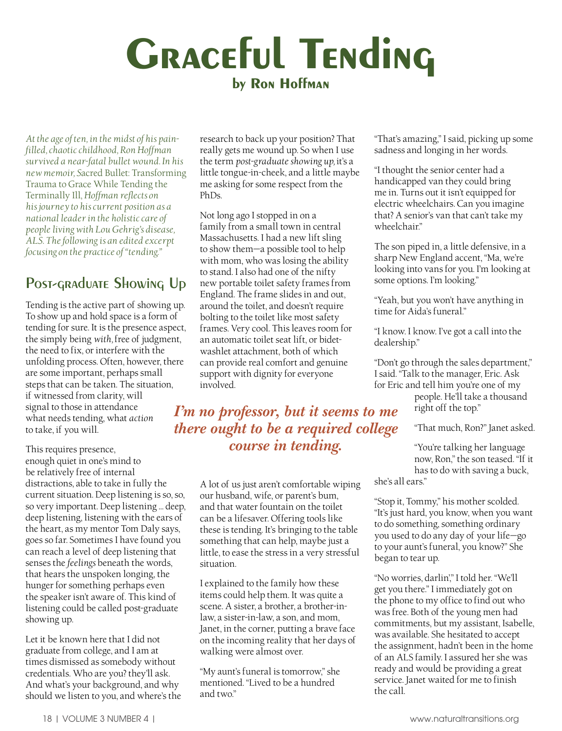# **Graceful Tending by Ron Hoffman**

*At the age of ten, in the midst of his painfilled, chaotic childhood, Ron Hoffman survived a near-fatal bullet wound. In his new memoir, S*acred Bullet: Transforming Trauma to Grace While Tending the Terminally Ill, *Hoffman reflects on his journey to his current position as a national leader in the holistic care of people living with Lou Gehrig's disease, ALS. The following is an edited excerpt focusing on the practice of "tending."*

# **Post-graduate Showing Up**

Tending is the active part of showing up. To show up and hold space is a form of tending for sure. It is the presence aspect, the simply being *with,* free of judgment, the need to fix, or interfere with the unfolding process. Often, however, there are some important, perhaps small steps that can be taken. The situation, if witnessed from clarity, will signal to those in attendance what needs tending, what *action*  to take, if you will.

This requires presence, enough quiet in one's mind to be relatively free of internal distractions, able to take in fully the current situation. Deep listening is so, so, so very important. Deep listening … deep, deep listening, listening with the ears of the heart, as my mentor Tom Daly says, goes so far. Sometimes I have found you can reach a level of deep listening that senses the *feelings* beneath the words, that hears the unspoken longing, the hunger for something perhaps even the speaker isn't aware of. This kind of listening could be called post-graduate showing up.

Let it be known here that I did not graduate from college, and I am at times dismissed as somebody without credentials. Who are you? they'll ask. And what's your background, and why should we listen to you, and where's the

research to back up your position? That really gets me wound up. So when I use the term *post-graduate showing up,* it's a little tongue-in-cheek, and a little maybe me asking for some respect from the PhDs.

Not long ago I stopped in on a family from a small town in central Massachusetts. I had a new lift sling to show them—a possible tool to help with mom, who was losing the ability to stand. I also had one of the nifty new portable toilet safety frames from England. The frame slides in and out, around the toilet, and doesn't require bolting to the toilet like most safety frames. Very cool. This leaves room for an automatic toilet seat lift, or bidetwashlet attachment, both of which can provide real comfort and genuine support with dignity for everyone involved.

## *I'm no professor, but it seems to me there ought to be a required college course in tending.*

A lot of us just aren't comfortable wiping our husband, wife, or parent's bum, and that water fountain on the toilet can be a lifesaver. Offering tools like these is tending. It's bringing to the table something that can help, maybe just a little, to ease the stress in a very stressful situation.

I explained to the family how these items could help them. It was quite a scene. A sister, a brother, a brother-inlaw, a sister-in-law, a son, and mom, Janet, in the corner, putting a brave face on the incoming reality that her days of walking were almost over.

"My aunt's funeral is tomorrow," she mentioned. "Lived to be a hundred and two."

"That's amazing," I said, picking up some sadness and longing in her words.

"I thought the senior center had a handicapped van they could bring me in. Turns out it isn't equipped for electric wheelchairs. Can you imagine that? A senior's van that can't take my wheelchair."

The son piped in, a little defensive, in a sharp New England accent, "Ma, we're looking into vans for you. I'm looking at some options. I'm looking."

"Yeah, but you won't have anything in time for Aida's funeral."

"I know. I know. I've got a call into the dealership."

"Don't go through the sales department," I said. "Talk to the manager, Eric. Ask for Eric and tell him you're one of my

people. He'll take a thousand right off the top."

"That much, Ron?" Janet asked.

"You're talking her language now, Ron," the son teased. "If it has to do with saving a buck,

she's all ears."

"Stop it, Tommy," his mother scolded. "It's just hard, you know, when you want to do something, something ordinary you used to do any day of your life—go to your aunt's funeral, you know?" She began to tear up.

"No worries, darlin'," I told her. "We'll get you there." I immediately got on the phone to my office to find out who was free. Both of the young men had commitments, but my assistant, Isabelle, was available. She hesitated to accept the assignment, hadn't been in the home of an ALS family. I assured her she was ready and would be providing a great service. Janet waited for me to finish the call.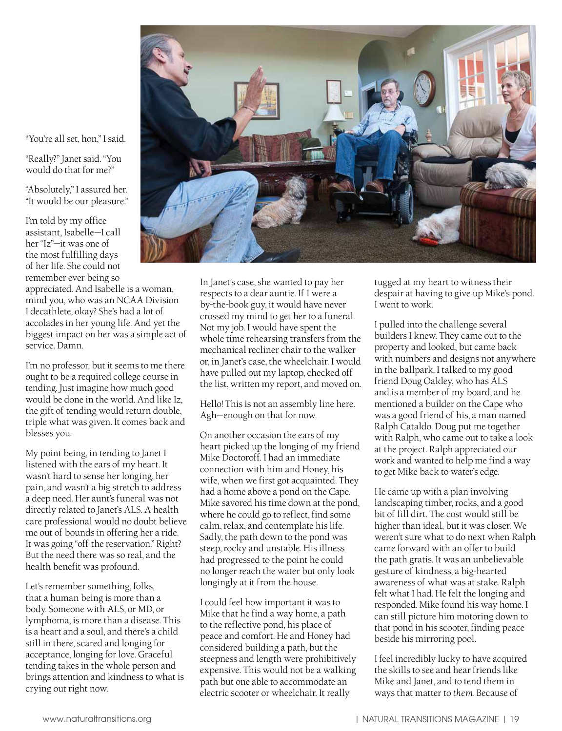"You're all set, hon," I said.

"Really?" Janet said. "You would do that for me?"

"Absolutely," I assured her. "It would be our pleasure."

I'm told by my office assistant, Isabelle—I call her "Iz"—it was one of the most fulfilling days of her life. She could not remember ever being so

appreciated. And Isabelle is a woman, mind you, who was an NCAA Division I decathlete, okay? She's had a lot of accolades in her young life. And yet the biggest impact on her was a simple act of service. Damn.

I'm no professor, but it seems to me there ought to be a required college course in tending. Just imagine how much good would be done in the world. And like Iz, the gift of tending would return double, triple what was given. It comes back and blesses you.

My point being, in tending to Janet I listened with the ears of my heart. It wasn't hard to sense her longing, her pain, and wasn't a big stretch to address a deep need. Her aunt's funeral was not directly related to Janet's ALS. A health care professional would no doubt believe me out of bounds in offering her a ride. It was going "off the reservation." Right? But the need there was so real, and the health benefit was profound.

Let's remember something, folks, that a human being is more than a body. Someone with ALS, or MD, or lymphoma, is more than a disease. This is a heart and a soul, and there's a child still in there, scared and longing for acceptance, longing for love. Graceful tending takes in the whole person and brings attention and kindness to what is crying out right now.



In Janet's case, she wanted to pay her respects to a dear auntie. If I were a by-the-book guy, it would have never crossed my mind to get her to a funeral. Not my job. I would have spent the whole time rehearsing transfers from the mechanical recliner chair to the walker or, in Janet's case, the wheelchair. I would have pulled out my laptop, checked off the list, written my report, and moved on.

Hello! This is not an assembly line here. Agh—enough on that for now.

On another occasion the ears of my heart picked up the longing of my friend Mike Doctoroff. I had an immediate connection with him and Honey, his wife, when we first got acquainted. They had a home above a pond on the Cape. Mike savored his time down at the pond, where he could go to reflect, find some calm, relax, and contemplate his life. Sadly, the path down to the pond was steep, rocky and unstable. His illness had progressed to the point he could no longer reach the water but only look longingly at it from the house.

I could feel how important it was to Mike that he find a way home, a path to the reflective pond, his place of peace and comfort. He and Honey had considered building a path, but the steepness and length were prohibitively expensive. This would not be a walking path but one able to accommodate an electric scooter or wheelchair. It really

tugged at my heart to witness their despair at having to give up Mike's pond. I went to work.

I pulled into the challenge several builders I knew. They came out to the property and looked, but came back with numbers and designs not anywhere in the ballpark. I talked to my good friend Doug Oakley, who has ALS and is a member of my board, and he mentioned a builder on the Cape who was a good friend of his, a man named Ralph Cataldo. Doug put me together with Ralph, who came out to take a look at the project. Ralph appreciated our work and wanted to help me find a way to get Mike back to water's edge.

He came up with a plan involving landscaping timber, rocks, and a good bit of fill dirt. The cost would still be higher than ideal, but it was closer. We weren't sure what to do next when Ralph came forward with an offer to build the path gratis. It was an unbelievable gesture of kindness, a big-hearted awareness of what was at stake. Ralph felt what I had. He felt the longing and responded. Mike found his way home. I can still picture him motoring down to that pond in his scooter, finding peace beside his mirroring pool.

I feel incredibly lucky to have acquired the skills to see and hear friends like Mike and Janet, and to tend them in ways that matter to *them.* Because of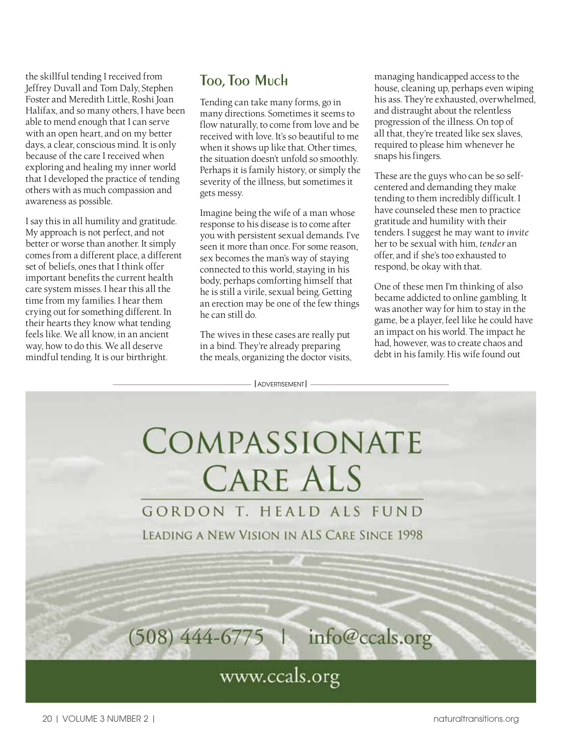the skillful tending I received from Jeffrey Duvall and Tom Daly, Stephen Foster and Meredith Little, Roshi Joan Halifax, and so many others, I have been able to mend enough that I can serve with an open heart, and on my better days, a clear, conscious mind. It is only because of the care I received when exploring and healing my inner world that I developed the practice of tending others with as much compassion and awareness as possible.

I say this in all humility and gratitude. My approach is not perfect, and not better or worse than another. It simply comes from a different place, a different set of beliefs, ones that I think offer important benefits the current health care system misses. I hear this all the time from my families. I hear them crying out for something different. In their hearts they know what tending feels like. We all know, in an ancient way, how to do this. We all deserve mindful tending. It is our birthright.

# **Too,Too Much**

Tending can take many forms, go in many directions. Sometimes it seems to flow naturally, to come from love and be received with love. It's so beautiful to me when it shows up like that. Other times, the situation doesn't unfold so smoothly. Perhaps it is family history, or simply the severity of the illness, but sometimes it gets messy.

Imagine being the wife of a man whose response to his disease is to come after you with persistent sexual demands. I've seen it more than once. For some reason, sex becomes the man's way of staying connected to this world, staying in his body, perhaps comforting himself that he is still a virile, sexual being. Getting an erection may be one of the few things he can still do.

The wives in these cases are really put in a bind. They're already preparing the meals, organizing the doctor visits, managing handicapped access to the house, cleaning up, perhaps even wiping his ass. They're exhausted, overwhelmed, and distraught about the relentless progression of the illness. On top of all that, they're treated like sex slaves, required to please him whenever he snaps his fingers.

These are the guys who can be so selfcentered and demanding they make tending to them incredibly difficult. I have counseled these men to practice gratitude and humility with their tenders. I suggest he may want to *invite*  her to be sexual with him, *tender* an offer, and if she's too exhausted to respond, be okay with that.

One of these men I'm thinking of also became addicted to online gambling. It was another way for him to stay in the game, be a player, feel like he could have an impact on his world. The impact he had, however, was to create chaos and debt in his family. His wife found out

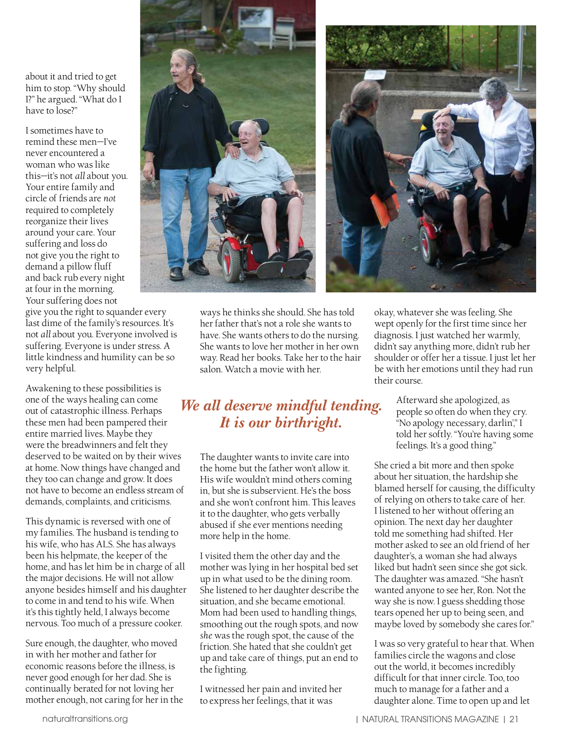about it and tried to get him to stop. "Why should I?" he argued. "What do I have to lose?"

I sometimes have to remind these men—I've never encountered a woman who was like this—it's not *all* about you. Your entire family and circle of friends are *not*  required to completely reorganize their lives around your care. Your suffering and loss do not give you the right to demand a pillow fluff and back rub every night at four in the morning. Your suffering does not

give you the right to squander every last dime of the family's resources. It's not *all* about you. Everyone involved is suffering. Everyone is under stress. A little kindness and humility can be so very helpful.

Awakening to these possibilities is one of the ways healing can come out of catastrophic illness. Perhaps these men had been pampered their entire married lives. Maybe they were the breadwinners and felt they deserved to be waited on by their wives at home. Now things have changed and they too can change and grow. It does not have to become an endless stream of demands, complaints, and criticisms.

This dynamic is reversed with one of my families. The husband is tending to his wife, who has ALS. She has always been his helpmate, the keeper of the home, and has let him be in charge of all the major decisions. He will not allow anyone besides himself and his daughter to come in and tend to his wife. When it's this tightly held, I always become nervous. Too much of a pressure cooker.

Sure enough, the daughter, who moved in with her mother and father for economic reasons before the illness, is never good enough for her dad. She is continually berated for not loving her mother enough, not caring for her in the



ways he thinks she should. She has told her father that's not a role she wants to have. She wants others to do the nursing. She wants to love her mother in her own way. Read her books. Take her to the hair salon. Watch a movie with her.

## *We all deserve mindful tending. It is our birthright.*

The daughter wants to invite care into the home but the father won't allow it. His wife wouldn't mind others coming in, but she is subservient. He's the boss and she won't confront him. This leaves it to the daughter, who gets verbally abused if she ever mentions needing more help in the home.

I visited them the other day and the mother was lying in her hospital bed set up in what used to be the dining room. She listened to her daughter describe the situation, and she became emotional. Mom had been used to handling things, smoothing out the rough spots, and now *she* was the rough spot, the cause of the friction. She hated that she couldn't get up and take care of things, put an end to the fighting.

I witnessed her pain and invited her to express her feelings, that it was

okay, whatever she was feeling. She wept openly for the first time since her diagnosis. I just watched her warmly, didn't say anything more, didn't rub her shoulder or offer her a tissue. I just let her be with her emotions until they had run their course.

> Afterward she apologized, as people so often do when they cry. "No apology necessary, darlin'," I told her softly. "You're having some feelings. It's a good thing."

She cried a bit more and then spoke about her situation, the hardship she blamed herself for causing, the difficulty of relying on others to take care of her. I listened to her without offering an opinion. The next day her daughter told me something had shifted. Her mother asked to see an old friend of her daughter's, a woman she had always liked but hadn't seen since she got sick. The daughter was amazed. "She hasn't wanted anyone to see her, Ron. Not the way she is now. I guess shedding those tears opened her up to being seen, and maybe loved by somebody she cares for."

I was so very grateful to hear that. When families circle the wagons and close out the world, it becomes incredibly difficult for that inner circle. Too, too much to manage for a father and a daughter alone. Time to open up and let